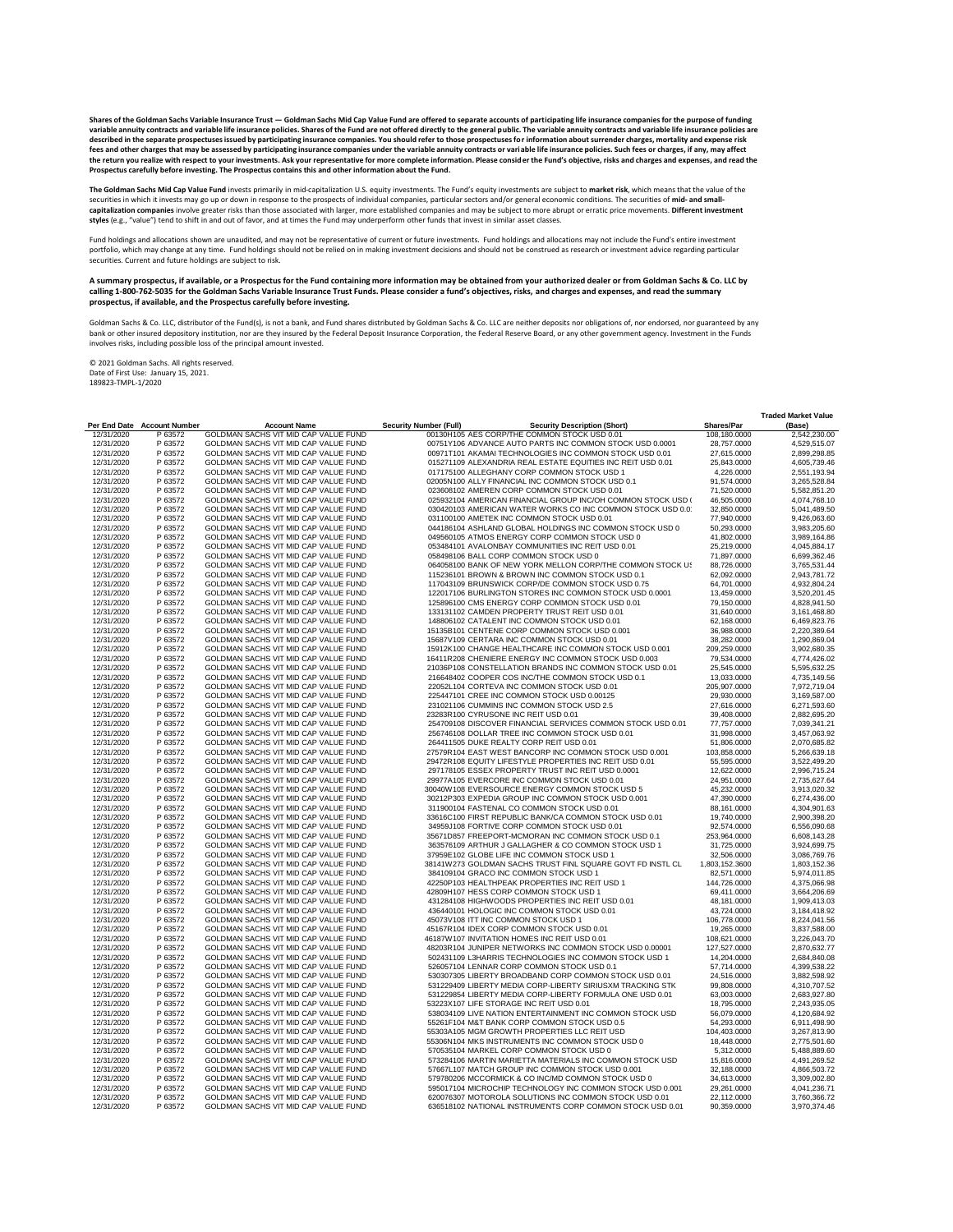|              |                       |                                             |                                                                      |                   | <b>Traded Market Value</b> |
|--------------|-----------------------|---------------------------------------------|----------------------------------------------------------------------|-------------------|----------------------------|
| Per End Date | <b>Account Number</b> | <b>Account Name</b>                         | <b>Security Number (Full)</b><br><b>Security Description (Short)</b> | <b>Shares/Par</b> | (Base)                     |
| 12/31/2020   | P 63572               | GOLDMAN SACHS VIT MID CAP VALUE FUND        | 00130H105 AES CORP/THE COMMON STOCK USD 0.01                         | 108,180.0000      | 2,542,230.00               |
| 12/31/2020   | P 63572               | GOLDMAN SACHS VIT MID CAP VALUE FUND        | 00751Y106 ADVANCE AUTO PARTS INC COMMON STOCK USD 0.0001             | 28,757.0000       | 4,529,515.07               |
| 12/31/2020   | P 63572               | GOLDMAN SACHS VIT MID CAP VALUE FUND        | 00971T101 AKAMAI TECHNOLOGIES INC COMMON STOCK USD 0.01              | 27,615.0000       | 2,899,298.85               |
| 12/31/2020   | P 63572               | GOLDMAN SACHS VIT MID CAP VALUE FUND        | 015271109 ALEXANDRIA REAL ESTATE EQUITIES INC REIT USD 0.01          | 25,843.0000       | 4,605,739.46               |
| 12/31/2020   | P 63572               | <b>GOLDMAN SACHS VIT MID CAP VALUE FUND</b> | 017175100 ALLEGHANY CORP COMMON STOCK USD 1                          | 4,226.0000        | 2,551,193.94               |
| 12/31/2020   | P 63572               | GOLDMAN SACHS VIT MID CAP VALUE FUND        | 02005N100 ALLY FINANCIAL INC COMMON STOCK USD 0.1                    | 91,574.0000       | 3,265,528.84               |
| 12/31/2020   | P 63572               | GOLDMAN SACHS VIT MID CAP VALUE FUND        | 023608102 AMEREN CORP COMMON STOCK USD 0.01                          | 71,520.0000       | 5,582,851.20               |
| 12/31/2020   | P 63572               | GOLDMAN SACHS VIT MID CAP VALUE FUND        | 025932104 AMERICAN FINANCIAL GROUP INC/OH COMMON STOCK USD (         | 46,505.0000       | 4,074,768.10               |
|              |                       |                                             | 030420103 AMERICAN WATER WORKS CO INC COMMON STOCK USD 0.0           |                   |                            |
| 12/31/2020   | P 63572               | GOLDMAN SACHS VIT MID CAP VALUE FUND        |                                                                      | 32,850.0000       | 5,041,489.50               |
| 12/31/2020   | P 63572               | GOLDMAN SACHS VIT MID CAP VALUE FUND        | 031100100 AMETEK INC COMMON STOCK USD 0.01                           | 77,940.0000       | 9,426,063.60               |
| 12/31/2020   | P 63572               | GOLDMAN SACHS VIT MID CAP VALUE FUND        | 044186104 ASHLAND GLOBAL HOLDINGS INC COMMON STOCK USD 0             | 50,293.0000       | 3,983,205.60               |
| 12/31/2020   | P 63572               | GOLDMAN SACHS VIT MID CAP VALUE FUND        | 049560105 ATMOS ENERGY CORP COMMON STOCK USD 0                       | 41,802.0000       | 3,989,164.86               |
| 12/31/2020   | P 63572               | GOLDMAN SACHS VIT MID CAP VALUE FUND        | 053484101 AVALONBAY COMMUNITIES INC REIT USD 0.01                    | 25,219.0000       | 4,045,884.17               |
| 12/31/2020   | P 63572               | GOLDMAN SACHS VIT MID CAP VALUE FUND        | 058498106 BALL CORP COMMON STOCK USD 0                               | 71,897.0000       | 6,699,362.46               |
| 12/31/2020   | P 63572               | GOLDMAN SACHS VIT MID CAP VALUE FUND        | 064058100 BANK OF NEW YORK MELLON CORP/THE COMMON STOCK US           | 88,726.0000       | 3,765,531.44               |
| 12/31/2020   | P 63572               | GOLDMAN SACHS VIT MID CAP VALUE FUND        | 115236101 BROWN & BROWN INC COMMON STOCK USD 0.1                     | 62,092.0000       | 2,943,781.72               |
| 12/31/2020   | P 63572               | GOLDMAN SACHS VIT MID CAP VALUE FUND        | 117043109 BRUNSWICK CORP/DE COMMON STOCK USD 0.75                    | 64,701.0000       | 4,932,804.24               |
| 12/31/2020   | P 63572               | GOLDMAN SACHS VIT MID CAP VALUE FUND        | 122017106 BURLINGTON STORES INC COMMON STOCK USD 0.0001              | 13,459.0000       | 3,520,201.45               |
| 12/31/2020   | P 63572               | GOLDMAN SACHS VIT MID CAP VALUE FUND        | 125896100 CMS ENERGY CORP COMMON STOCK USD 0.01                      | 79,150.0000       | 4,828,941.50               |
| 12/31/2020   | P 63572               | GOLDMAN SACHS VIT MID CAP VALUE FUND        | 133131102 CAMDEN PROPERTY TRUST REIT USD 0.01                        | 31,640.0000       | 3,161,468.80               |
| 12/31/2020   | P 63572               | GOLDMAN SACHS VIT MID CAP VALUE FUND        | 148806102 CATALENT INC COMMON STOCK USD 0.01                         | 62,168.0000       | 6,469,823.76               |
| 12/31/2020   | P 63572               | GOLDMAN SACHS VIT MID CAP VALUE FUND        | 15135B101 CENTENE CORP COMMON STOCK USD 0.001                        | 36,988.0000       | 2,220,389.64               |
| 12/31/2020   | P 63572               | GOLDMAN SACHS VIT MID CAP VALUE FUND        | 15687V109 CERTARA INC COMMON STOCK USD 0.01                          | 38,282.0000       | 1,290,869.04               |
| 12/31/2020   | P 63572               | GOLDMAN SACHS VIT MID CAP VALUE FUND        | 15912K100 CHANGE HEALTHCARE INC COMMON STOCK USD 0.001               | 209,259.0000      | 3,902,680.35               |
| 12/31/2020   | P 63572               | GOLDMAN SACHS VIT MID CAP VALUE FUND        | 16411R208 CHENIERE ENERGY INC COMMON STOCK USD 0.003                 | 79,534.0000       | 4,774,426.02               |
| 12/31/2020   | P 63572               | GOLDMAN SACHS VIT MID CAP VALUE FUND        | 21036P108 CONSTELLATION BRANDS INC COMMON STOCK USD 0.01             | 25,545.0000       | 5,595,632.25               |
| 12/31/2020   | P 63572               | GOLDMAN SACHS VIT MID CAP VALUE FUND        | 216648402 COOPER COS INC/THE COMMON STOCK USD 0.1                    | 13,033.0000       | 4,735,149.56               |
| 12/31/2020   | P 63572               | GOLDMAN SACHS VIT MID CAP VALUE FUND        | 22052L104 CORTEVA INC COMMON STOCK USD 0.01                          | 205,907.0000      | 7,972,719.04               |
|              |                       |                                             |                                                                      |                   |                            |
| 12/31/2020   | P 63572               | GOLDMAN SACHS VIT MID CAP VALUE FUND        | 225447101 CREE INC COMMON STOCK USD 0.00125                          | 29,930.0000       | 3,169,587.00               |
| 12/31/2020   | P 63572               | GOLDMAN SACHS VIT MID CAP VALUE FUND        | 231021106 CUMMINS INC COMMON STOCK USD 2.5                           | 27,616.0000       | 6,271,593.60               |
| 12/31/2020   | P 63572               | GOLDMAN SACHS VIT MID CAP VALUE FUND        | 23283R100 CYRUSONE INC REIT USD 0.01                                 | 39,408.0000       | 2,882,695.20               |
| 12/31/2020   | P 63572               | GOLDMAN SACHS VIT MID CAP VALUE FUND        | 254709108 DISCOVER FINANCIAL SERVICES COMMON STOCK USD 0.01          | 77,757.0000       | 7,039,341.21               |
| 12/31/2020   | P 63572               | GOLDMAN SACHS VIT MID CAP VALUE FUND        | 256746108 DOLLAR TREE INC COMMON STOCK USD 0.01                      | 31,998.0000       | 3,457,063.92               |
| 12/31/2020   | P 63572               | GOLDMAN SACHS VIT MID CAP VALUE FUND        | 264411505 DUKE REALTY CORP REIT USD 0.01                             | 51,806.0000       | 2,070,685.82               |
| 12/31/2020   | P 63572               | GOLDMAN SACHS VIT MID CAP VALUE FUND        | 27579R104 EAST WEST BANCORP INC COMMON STOCK USD 0.001               | 103,858.0000      | 5,266,639.18               |
| 12/31/2020   | P 63572               | GOLDMAN SACHS VIT MID CAP VALUE FUND        | 29472R108 EQUITY LIFESTYLE PROPERTIES INC REIT USD 0.01              | 55,595.0000       | 3,522,499.20               |
| 12/31/2020   | P 63572               | GOLDMAN SACHS VIT MID CAP VALUE FUND        | 297178105 ESSEX PROPERTY TRUST INC REIT USD 0.0001                   | 12,622.0000       | 2,996,715.24               |
| 12/31/2020   | P 63572               | GOLDMAN SACHS VIT MID CAP VALUE FUND        | 29977A105 EVERCORE INC COMMON STOCK USD 0.01                         | 24,951.0000       | 2,735,627.64               |
| 12/31/2020   | P 63572               | GOLDMAN SACHS VIT MID CAP VALUE FUND        | 30040W108 EVERSOURCE ENERGY COMMON STOCK USD 5                       | 45,232.0000       | 3,913,020.32               |
| 12/31/2020   | P 63572               | GOLDMAN SACHS VIT MID CAP VALUE FUND        | 30212P303 EXPEDIA GROUP INC COMMON STOCK USD 0.001                   | 47,390.0000       | 6,274,436.00               |
| 12/31/2020   | P 63572               | <b>GOLDMAN SACHS VIT MID CAP VALUE FUND</b> | 311900104 FASTENAL CO COMMON STOCK USD 0.01                          | 88,161.0000       | 4,304,901.63               |
| 12/31/2020   | P 63572               | GOLDMAN SACHS VIT MID CAP VALUE FUND        | 33616C100 FIRST REPUBLIC BANK/CA COMMON STOCK USD 0.01               | 19,740.0000       | 2,900,398.20               |
| 12/31/2020   | P 63572               | GOLDMAN SACHS VIT MID CAP VALUE FUND        | 34959J108 FORTIVE CORP COMMON STOCK USD 0.01                         | 92,574.0000       | 6,556,090.68               |
| 12/31/2020   | P 63572               | GOLDMAN SACHS VIT MID CAP VALUE FUND        | 35671D857 FREEPORT-MCMORAN INC COMMON STOCK USD 0.1                  | 253,964.0000      | 6,608,143.28               |
| 12/31/2020   | P 63572               | GOLDMAN SACHS VIT MID CAP VALUE FUND        | 363576109 ARTHUR J GALLAGHER & CO COMMON STOCK USD 1                 | 31,725.0000       | 3,924,699.75               |
| 12/31/2020   | P 63572               | GOLDMAN SACHS VIT MID CAP VALUE FUND        | 37959E102 GLOBE LIFE INC COMMON STOCK USD 1                          | 32,506.0000       | 3,086,769.76               |
| 12/31/2020   | P 63572               | GOLDMAN SACHS VIT MID CAP VALUE FUND        | 38141W273 GOLDMAN SACHS TRUST FINL SQUARE GOVT FD INSTL CL           | 1,803,152.3600    | 1,803,152.36               |
| 12/31/2020   | P 63572               | GOLDMAN SACHS VIT MID CAP VALUE FUND        | 384109104 GRACO INC COMMON STOCK USD 1                               | 82,571.0000       | 5,974,011.85               |
|              | P 63572               |                                             |                                                                      |                   |                            |
| 12/31/2020   |                       | GOLDMAN SACHS VIT MID CAP VALUE FUND        | 42250P103 HEALTHPEAK PROPERTIES INC REIT USD 1                       | 144,726.0000      | 4,375,066.98               |
| 12/31/2020   | P 63572               | GOLDMAN SACHS VIT MID CAP VALUE FUND        | 42809H107 HESS CORP COMMON STOCK USD 1                               | 69,411.0000       | 3,664,206.69               |
| 12/31/2020   | P 63572               | GOLDMAN SACHS VIT MID CAP VALUE FUND        | 431284108 HIGHWOODS PROPERTIES INC REIT USD 0.01                     | 48,181.0000       | 1,909,413.03               |
| 12/31/2020   | P 63572               | GOLDMAN SACHS VIT MID CAP VALUE FUND        | 436440101 HOLOGIC INC COMMON STOCK USD 0.01                          | 43,724.0000       | 3,184,418.92               |
| 12/31/2020   | P 63572               | GOLDMAN SACHS VIT MID CAP VALUE FUND        | 45073V108 ITT INC COMMON STOCK USD 1                                 | 106,778.0000      | 8,224,041.56               |
| 12/31/2020   | P 63572               | GOLDMAN SACHS VIT MID CAP VALUE FUND        | 45167R104 IDEX CORP COMMON STOCK USD 0.01                            | 19,265.0000       | 3,837,588.00               |
| 12/31/2020   | P 63572               | GOLDMAN SACHS VIT MID CAP VALUE FUND        | 46187W107 INVITATION HOMES INC REIT USD 0.01                         | 108,621.0000      | 3,226,043.70               |
| 12/31/2020   | P 63572               | GOLDMAN SACHS VIT MID CAP VALUE FUND        | 48203R104 JUNIPER NETWORKS INC COMMON STOCK USD 0.00001              | 127,527.0000      | 2,870,632.77               |
| 12/31/2020   | P 63572               | GOLDMAN SACHS VIT MID CAP VALUE FUND        | 502431109 L3HARRIS TECHNOLOGIES INC COMMON STOCK USD 1               | 14,204.0000       | 2,684,840.08               |
| 12/31/2020   | P 63572               | GOLDMAN SACHS VIT MID CAP VALUE FUND        | 526057104 LENNAR CORP COMMON STOCK USD 0.1                           | 57,714.0000       | 4,399,538.22               |
| 12/31/2020   | P 63572               | GOLDMAN SACHS VIT MID CAP VALUE FUND        | 530307305 LIBERTY BROADBAND CORP COMMON STOCK USD 0.01               | 24,516.0000       | 3,882,598.92               |
| 12/31/2020   | P 63572               | GOLDMAN SACHS VIT MID CAP VALUE FUND        | 531229409 LIBERTY MEDIA CORP-LIBERTY SIRIUSXM TRACKING STK           | 99,808.0000       | 4,310,707.52               |
| 12/31/2020   | P 63572               | <b>GOLDMAN SACHS VIT MID CAP VALUE FUND</b> | 531229854 LIBERTY MEDIA CORP-LIBERTY FORMULA ONE USD 0.01            | 63,003.0000       | 2,683,927.80               |
| 12/31/2020   | P 63572               | GOLDMAN SACHS VIT MID CAP VALUE FUND        | 53223X107 LIFE STORAGE INC REIT USD 0.01                             | 18,795.0000       | 2,243,935.05               |
| 12/31/2020   | P 63572               | GOLDMAN SACHS VIT MID CAP VALUE FUND        | 538034109 LIVE NATION ENTERTAINMENT INC COMMON STOCK USD             | 56,079.0000       | 4,120,684.92               |
| 12/31/2020   | P 63572               | GOLDMAN SACHS VIT MID CAP VALUE FUND        | 55261F104 M&T BANK CORP COMMON STOCK USD 0.5                         | 54,293.0000       | 6,911,498.90               |
| 12/31/2020   | P 63572               | GOLDMAN SACHS VIT MID CAP VALUE FUND        | 55303A105 MGM GROWTH PROPERTIES LLC REIT USD                         | 104,403.0000      | 3,267,813.90               |
| 12/31/2020   | P 63572               | GOLDMAN SACHS VIT MID CAP VALUE FUND        | 55306N104 MKS INSTRUMENTS INC COMMON STOCK USD 0                     | 18,448.0000       | 2,775,501.60               |
| 12/31/2020   | P 63572               | GOLDMAN SACHS VIT MID CAP VALUE FUND        | 570535104 MARKEL CORP COMMON STOCK USD 0                             | 5,312.0000        | 5,488,889.60               |
| 12/31/2020   | P 63572               | GOLDMAN SACHS VIT MID CAP VALUE FUND        | 573284106 MARTIN MARIETTA MATERIALS INC COMMON STOCK USD             | 15,816.0000       | 4,491,269.52               |
|              |                       |                                             |                                                                      |                   |                            |
| 12/31/2020   | P 63572               | GOLDMAN SACHS VIT MID CAP VALUE FUND        | 57667L107 MATCH GROUP INC COMMON STOCK USD 0.001                     | 32,188.0000       | 4,866,503.72               |
| 12/31/2020   | P 63572               | GOLDMAN SACHS VIT MID CAP VALUE FUND        | 579780206 MCCORMICK & CO INC/MD COMMON STOCK USD 0                   | 34,613.0000       | 3,309,002.80               |
| 12/31/2020   | P 63572               | GOLDMAN SACHS VIT MID CAP VALUE FUND        | 595017104 MICROCHIP TECHNOLOGY INC COMMON STOCK USD 0.001            | 29,261.0000       | 4,041,236.71               |
| 12/31/2020   | P 63572               | GOLDMAN SACHS VIT MID CAP VALUE FUND        | 620076307 MOTOROLA SOLUTIONS INC COMMON STOCK USD 0.01               | 22,112.0000       | 3,760,366.72               |
| 12/31/2020   | P 63572               | GOLDMAN SACHS VIT MID CAP VALUE FUND        | 636518102 NATIONAL INSTRUMENTS CORP COMMON STOCK USD 0.01            | 90,359.0000       | 3,970,374.46               |

Shares of the Goldman Sachs Variable Insurance Trust — Goldman Sachs Mid Cap Value Fund are offered to separate accounts of participating life insurance companies for the purpose of funding **variable annuity contracts and variable life insurance policies. Shares of the Fund are not offered directly to the general public. The variable annuity contracts and variable life insurance policies are described in the separate prospectuses issued by participating insurance companies. You should refer to those prospectuses for information about surrender charges, mortality and expense risk fees and other charges that may be assessed by participating insurance companies under the variable annuity contracts or variable life insurance policies. Such fees or charges, if any, may affect the return you realize with respect to your investments. Ask your representative for more complete information. Please consider the Fund's objective, risks and charges and expenses, and read the Prospectus carefully before investing. The Prospectus contains this and other information about the Fund.**

Fund holdings and allocations shown are unaudited, and may not be representative of current or future investments. Fund holdings and allocations may not include the Fund's entire investment portfolio, which may change at any time. Fund holdings should not be relied on in making investment decisions and should not be construed as research or investment advice regarding particular securities. Current and future holdings are subject to risk.

Goldman Sachs & Co. LLC, distributor of the Fund(s), is not a bank, and Fund shares distributed by Goldman Sachs & Co. LLC are neither deposits nor obligations of, nor endorsed, nor guaranteed by any bank or other insured depository institution, nor are they insured by the Federal Deposit Insurance Corporation, the Federal Reserve Board, or any other government agency. Investment in the Funds involves risks, including possible loss of the principal amount invested.

**The Goldman Sachs Mid Cap Value Fund** invests primarily in mid-capitalization U.S. equity investments. The Fund's equity investments are subject to **market risk**, which means that the value of the securities in which it invests may go up or down in response to the prospects of individual companies, particular sectors and/or general economic conditions. The securities of **mid- and smallcapitalization companies** involve greater risks than those associated with larger, more established companies and may be subject to more abrupt or erratic price movements. **Different investment styles** (e.g., "value") tend to shift in and out of favor, and at times the Fund may underperform other funds that invest in similar asset classes.

**A summary prospectus, if available, or a Prospectus for the Fund containing more information may be obtained from your authorized dealer or from Goldman Sachs & Co. LLC by calling 1-800-762-5035 for the Goldman Sachs Variable Insurance Trust Funds. Please consider a fund's objectives, risks, and charges and expenses, and read the summary prospectus, if available, and the Prospectus carefully before investing.**

© 2021 Goldman Sachs. All rights reserved. Date of First Use: January 15, 2021. 189823-TMPL-1/2020